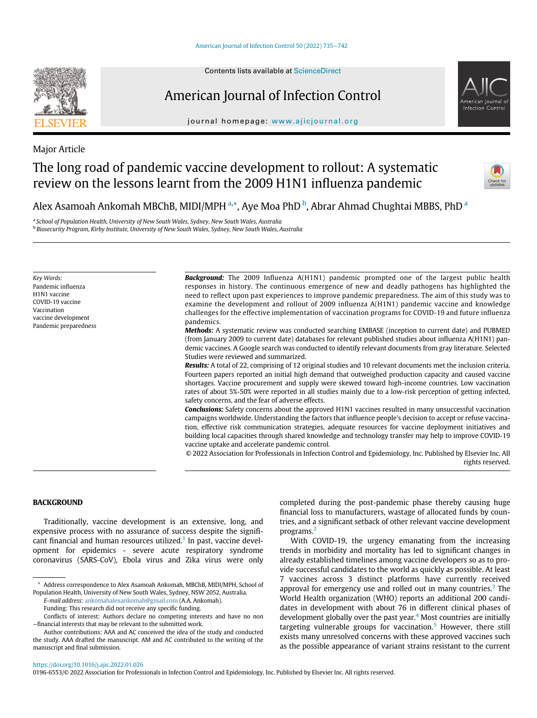



## American Journal of Infection Control

journal homepage: [www.ajicjournal.org](http://www.ajicjournal.org)

Major Article

## The long road of pandemic vaccine development to rollout: A systematic review on the lessons learnt from the 2009 H1N1 influenza pandemic



Alex As[a](#page-0-0)moah Ankomah MBChB, MIDI/MPH <sup>a,[\\*](#page-0-1)</sup>, Aye Moa PhD <sup>[b](#page-0-2)</sup>, Abrar Ahmad Chughtai MBBS, PhD <sup>a</sup>

<span id="page-0-0"></span><sup>a</sup> School of Population Health, University of New South Wales, Sydney, New South Wales, Australia

<span id="page-0-2"></span>**b Biosecurity Program, Kirby Institute, University of New South Wales, Sydney, New South Wales, Australia** 

Key Words: Pandemic influenza H1N1 vaccine COVID-19 vaccine Vaccination vaccine development Pandemic preparedness **Background:** The 2009 Influenza A(H1N1) pandemic prompted one of the largest public health responses in history. The continuous emergence of new and deadly pathogens has highlighted the need to reflect upon past experiences to improve pandemic preparedness. The aim of this study was to examine the development and rollout of 2009 influenza A(H1N1) pandemic vaccine and knowledge challenges for the effective implementation of vaccination programs for COVID-19 and future influenza pandemics.

Methods: A systematic review was conducted searching EMBASE (inception to current date) and PUBMED (from January 2009 to current date) databases for relevant published studies about influenza A(H1N1) pandemic vaccines. A Google search was conducted to identify relevant documents from gray literature. Selected Studies were reviewed and summarized.

Results: A total of 22, comprising of 12 original studies and 10 relevant documents met the inclusion criteria. Fourteen papers reported an initial high demand that outweighed production capacity and caused vaccine shortages. Vaccine procurement and supply were skewed toward high-income countries. Low vaccination rates of about 5%-50% were reported in all studies mainly due to a low-risk perception of getting infected, safety concerns, and the fear of adverse effects.

**Conclusions:** Safety concerns about the approved H1N1 vaccines resulted in many unsuccessful vaccination campaigns worldwide. Understanding the factors that influence people's decision to accept or refuse vaccination, effective risk communication strategies, adequate resources for vaccine deployment initiatives and building local capacities through shared knowledge and technology transfer may help to improve COVID-19 vaccine uptake and accelerate pandemic control.

© 2022 Association for Professionals in Infection Control and Epidemiology, Inc. Published by Elsevier Inc. All rights reserved.

### **BACKGROUND**

Traditionally, vaccine development is an extensive, long, and expensive process with no assurance of success despite the signifi-cant financial and human resources utilized.<sup>[1](#page-7-0)</sup> In past, vaccine development for epidemics - severe acute respiratory syndrome coronavirus (SARS-CoV), Ebola virus and Zika virus were only

E-mail address: [ankomahalexankomah@gmail.com](mailto:ankomahalexankomah@gmail.com) (A.A. Ankomah).

Funding: This research did not receive any specific funding.

completed during the post-pandemic phase thereby causing huge financial loss to manufacturers, wastage of allocated funds by countries, and a significant setback of other relevant vaccine development programs.[2](#page-7-1)

With COVID-19, the urgency emanating from the increasing trends in morbidity and mortality has led to significant changes in already established timelines among vaccine developers so as to provide successful candidates to the world as quickly as possible. At least 7 vaccines across 3 distinct platforms have currently received approval for emergency use and rolled out in many countries. $3$  The World Health organization (WHO) reports an additional 200 candidates in development with about 76 in different clinical phases of development globally over the past year. $4$  Most countries are initially targeting vulnerable groups for vaccination.<sup>[5](#page-7-4)</sup> However, there still exists many unresolved concerns with these approved vaccines such as the possible appearance of variant strains resistant to the current

### <https://doi.org/10.1016/j.ajic.2022.01.026>

0196-6553/© 2022 Association for Professionals in Infection Control and Epidemiology, Inc. Published by Elsevier Inc. All rights reserved.

<span id="page-0-1"></span><sup>\*</sup> Address correspondence to Alex Asamoah Ankomah, MBChB, MIDI/MPH, School of Population Health, University of New South Wales, Sydney, NSW 2052, Australia.

Conflicts of interest: Authors declare no competing interests and have no non −financial interests that may be relevant to the submitted work.

Author contributions: AAA and AC conceived the idea of the study and conducted the study. AAA drafted the manuscript. AM and AC contributed to the writing of the manuscript and final submission.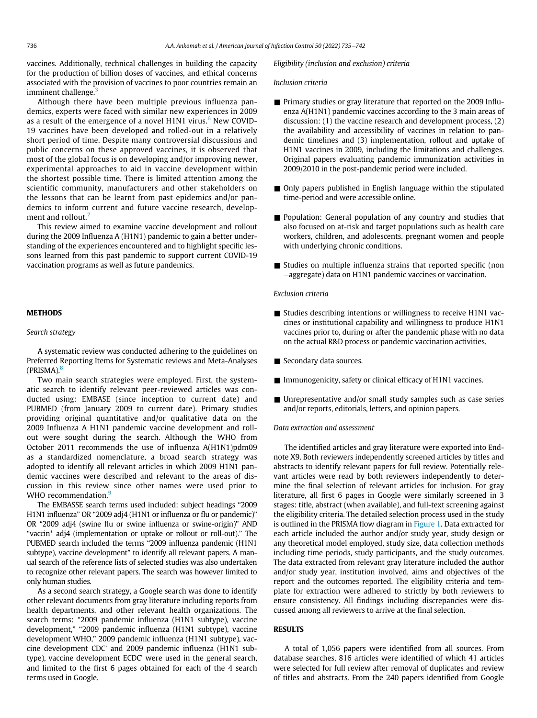vaccines. Additionally, technical challenges in building the capacity for the production of billion doses of vaccines, and ethical concerns associated with the provision of vaccines to poor countries remain an imminent challenge.<sup>[3](#page-7-2)</sup>

Although there have been multiple previous influenza pandemics, experts were faced with similar new experiences in 2009 as a result of the emergence of a novel H1N1 virus. $<sup>6</sup>$  $<sup>6</sup>$  $<sup>6</sup>$  New COVID-</sup> 19 vaccines have been developed and rolled-out in a relatively short period of time. Despite many controversial discussions and public concerns on these approved vaccines, it is observed that most of the global focus is on developing and/or improving newer, experimental approaches to aid in vaccine development within the shortest possible time. There is limited attention among the scientific community, manufacturers and other stakeholders on the lessons that can be learnt from past epidemics and/or pandemics to inform current and future vaccine research, develop-ment and rollout.<sup>[7](#page-7-6)</sup>

This review aimed to examine vaccine development and rollout during the 2009 Influenza A (H1N1) pandemic to gain a better understanding of the experiences encountered and to highlight specific lessons learned from this past pandemic to support current COVID-19 vaccination programs as well as future pandemics.

### Search strategy

A systematic review was conducted adhering to the guidelines on Preferred Reporting Items for Systematic reviews and Meta-Analyses  $(PRISMA).$ <sup>[8](#page-7-7)</sup>

Two main search strategies were employed. First, the systematic search to identify relevant peer-reviewed articles was conducted using: EMBASE (since inception to current date) and PUBMED (from January 2009 to current date). Primary studies providing original quantitative and/or qualitative data on the 2009 Influenza A H1N1 pandemic vaccine development and rollout were sought during the search. Although the WHO from October 2011 recommends the use of influenza A(H1N1)pdm09 as a standardized nomenclature, a broad search strategy was adopted to identify all relevant articles in which 2009 H1N1 pandemic vaccines were described and relevant to the areas of discussion in this review since other names were used prior to WHO recommendation.<sup>[9](#page-7-8)</sup>

The EMBASSE search terms used included: subject headings "2009 H1N1 influenza" OR "2009 adj4 (H1N1 or influenza or flu or pandemic)" OR "2009 adj4 (swine flu or swine influenza or swine-origin)" AND "vaccin\* adj4 (implementation or uptake or rollout or roll-out)." The PUBMED search included the terms "2009 influenza pandemic (H1N1 subtype), vaccine development" to identify all relevant papers. A manual search of the reference lists of selected studies was also undertaken to recognize other relevant papers. The search was however limited to only human studies.

As a second search strategy, a Google search was done to identify other relevant documents from gray literature including reports from health departments, and other relevant health organizations. The search terms: "2009 pandemic influenza (H1N1 subtype), vaccine development," "2009 pandemic influenza (H1N1 subtype), vaccine development WHO," 2009 pandemic influenza (H1N1 subtype), vaccine development CDC' and 2009 pandemic influenza (H1N1 subtype), vaccine development ECDC' were used in the general search, and limited to the first 6 pages obtained for each of the 4 search terms used in Google.

### Eligibility (inclusion and exclusion) criteria

### Inclusion criteria

- **Primary studies or gray literature that reported on the 2009 Influ**enza A(H1N1) pandemic vaccines according to the 3 main areas of discussion: (1) the vaccine research and development process, (2) the availability and accessibility of vaccines in relation to pandemic timelines and (3) implementation, rollout and uptake of H1N1 vaccines in 2009, including the limitations and challenges. Original papers evaluating pandemic immunization activities in 2009/2010 in the post-pandemic period were included.
- Only papers published in English language within the stipulated time-period and were accessible online.
- Population: General population of any country and studies that also focused on at-risk and target populations such as health care workers, children, and adolescents. pregnant women and people with underlying chronic conditions.
- $\blacksquare$  Studies on multiple influenza strains that reported specific (non −aggregate) data on H1N1 pandemic vaccines or vaccination.

### Exclusion criteria

- Studies describing intentions or willingness to receive H1N1 vaccines or institutional capability and willingness to produce H1N1 vaccines prior to, during or after the pandemic phase with no data on the actual R&D process or pandemic vaccination activities.
- Secondary data sources.
- Immunogenicity, safety or clinical efficacy of H1N1 vaccines.
- $\blacksquare$  Unrepresentative and/or small study samples such as case series and/or reports, editorials, letters, and opinion papers.

### Data extraction and assessment

The identified articles and gray literature were exported into Endnote X9. Both reviewers independently screened articles by titles and abstracts to identify relevant papers for full review. Potentially relevant articles were read by both reviewers independently to determine the final selection of relevant articles for inclusion. For gray literature, all first 6 pages in Google were similarly screened in 3 stages: title, abstract (when available), and full-text screening against the eligibility criteria. The detailed selection process used in the study is outlined in the PRISMA flow diagram in [Figure 1](#page-2-0). Data extracted for each article included the author and/or study year, study design or any theoretical model employed, study size, data collection methods including time periods, study participants, and the study outcomes. The data extracted from relevant gray literature included the author and/or study year, institution involved, aims and objectives of the report and the outcomes reported. The eligibility criteria and template for extraction were adhered to strictly by both reviewers to ensure consistency. All findings including discrepancies were discussed among all reviewers to arrive at the final selection.

A total of 1,056 papers were identified from all sources. From database searches, 816 articles were identified of which 41 articles were selected for full review after removal of duplicates and review of titles and abstracts. From the 240 papers identified from Google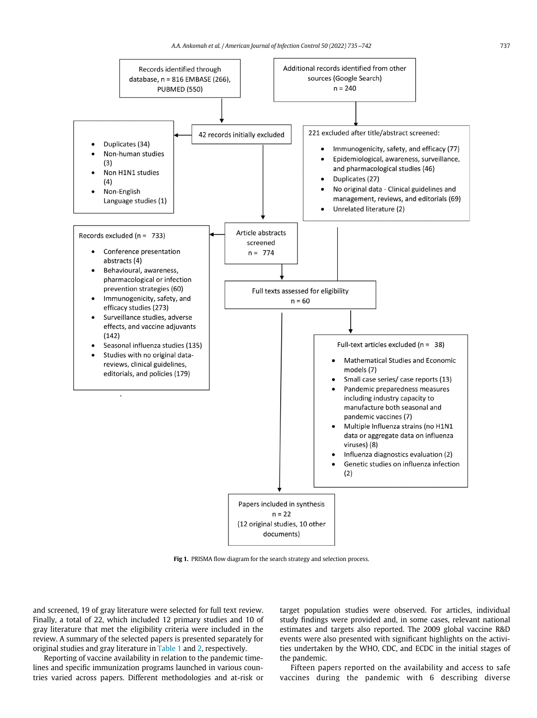<span id="page-2-0"></span>

Fig 1. PRISMA flow diagram for the search strategy and selection process.

and screened, 19 of gray literature were selected for full text review. Finally, a total of 22, which included 12 primary studies and 10 of gray literature that met the eligibility criteria were included in the review. A summary of the selected papers is presented separately for original studies and gray literature in [Table 1](#page-3-0) and [2,](#page-5-0) respectively.

Reporting of vaccine availability in relation to the pandemic timelines and specific immunization programs launched in various countries varied across papers. Different methodologies and at-risk or target population studies were observed. For articles, individual study findings were provided and, in some cases, relevant national estimates and targets also reported. The 2009 global vaccine R&D events were also presented with significant highlights on the activities undertaken by the WHO, CDC, and ECDC in the initial stages of the pandemic.

Fifteen papers reported on the availability and access to safe vaccines during the pandemic with 6 describing diverse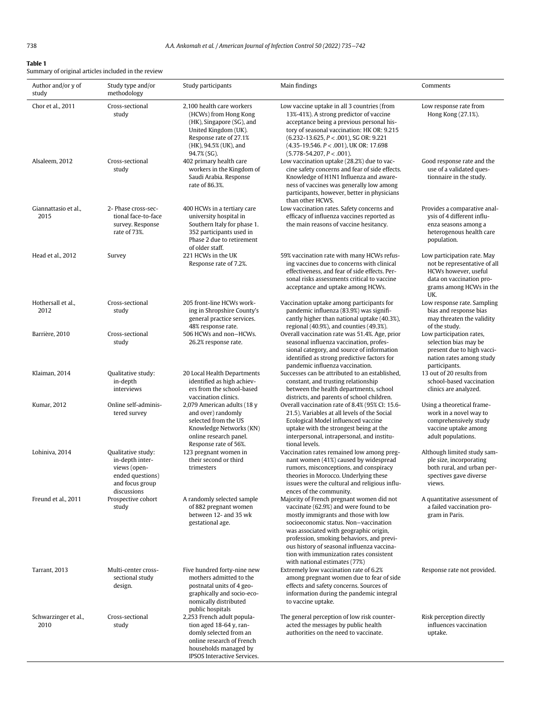<span id="page-3-0"></span>Summary of original articles included in the review

| Author and/or y of<br>study  | Study type and/or<br>methodology                                                                            | Study participants                                                                                                                                                        | Main findings                                                                                                                                                                                                                                                                                                                                                                         | Comments                                                                                                                                          |
|------------------------------|-------------------------------------------------------------------------------------------------------------|---------------------------------------------------------------------------------------------------------------------------------------------------------------------------|---------------------------------------------------------------------------------------------------------------------------------------------------------------------------------------------------------------------------------------------------------------------------------------------------------------------------------------------------------------------------------------|---------------------------------------------------------------------------------------------------------------------------------------------------|
| Chor et al., 2011            | Cross-sectional<br>study                                                                                    | 2,100 health care workers<br>(HCWs) from Hong Kong<br>(HK), Singapore (SG), and<br>United Kingdom (UK).<br>Response rate of 27.1%<br>(HK), 94.5% (UK), and<br>94.7% (SG). | Low vaccine uptake in all 3 countries (from<br>13%-41%). A strong predictor of vaccine<br>acceptance being a previous personal his-<br>tory of seasonal vaccination: HK OR: 9.215<br>$(6.232 - 13.625, P < .001)$ , SG OR: 9.221<br>$(4.35-19.546. P < .001)$ , UK OR: 17.698<br>$(5.778 - 54.207, P < .001)$ .                                                                       | Low response rate from<br>Hong Kong (27.1%).                                                                                                      |
| Alsaleem, 2012               | Cross-sectional<br>study                                                                                    | 402 primary health care<br>workers in the Kingdom of<br>Saudi Arabia. Response<br>rate of 86.3%.                                                                          | Low vaccination uptake (28.2%) due to vac-<br>cine safety concerns and fear of side effects.<br>Knowledge of H1N1 Influenza and aware-<br>ness of vaccines was generally low among<br>participants, however, better in physicians<br>than other HCWS.                                                                                                                                 | Good response rate and the<br>use of a validated ques-<br>tionnaire in the study.                                                                 |
| Giannattasio et al.,<br>2015 | 2- Phase cross-sec-<br>tional face-to-face<br>survey. Response<br>rate of 73%.                              | 400 HCWs in a tertiary care<br>university hospital in<br>Southern Italy for phase 1.<br>352 participants used in<br>Phase 2 due to retirement<br>of older staff.          | Low vaccination rates. Safety concerns and<br>efficacy of influenza vaccines reported as<br>the main reasons of vaccine hesitancy.                                                                                                                                                                                                                                                    | Provides a comparative anal-<br>ysis of 4 different influ-<br>enza seasons among a<br>heterogenous health care<br>population.                     |
| Head et al., 2012            | Survey                                                                                                      | 221 HCWs in the UK<br>Response rate of 7.2%.                                                                                                                              | 59% vaccination rate with many HCWs refus-<br>ing vaccines due to concerns with clinical<br>effectiveness, and fear of side effects. Per-<br>sonal risks assessments critical to vaccine<br>acceptance and uptake among HCWs.                                                                                                                                                         | Low participation rate. May<br>not be representative of all<br>HCWs however, useful<br>data on vaccination pro-<br>grams among HCWs in the<br>UK. |
| Hothersall et al.,<br>2012   | Cross-sectional<br>study                                                                                    | 205 front-line HCWs work-<br>ing in Shropshire County's<br>general practice services.<br>48% response rate.                                                               | Vaccination uptake among participants for<br>pandemic influenza (83.9%) was signifi-<br>cantly higher than national uptake (40.3%),<br>regional (40.9%), and counties (49.3%).                                                                                                                                                                                                        | Low response rate. Sampling<br>bias and response bias<br>may threaten the validity<br>of the study.                                               |
| Barrière, 2010               | Cross-sectional<br>study                                                                                    | 506 HCWs and non-HCWs.<br>26.2% response rate.                                                                                                                            | Overall vaccination rate was 51.4%. Age, prior<br>seasonal influenza vaccination, profes-<br>sional category, and source of information<br>identified as strong predictive factors for<br>pandemic influenza vaccination.                                                                                                                                                             | Low participation rates,<br>selection bias may be<br>present due to high vacci-<br>nation rates among study<br>participants.                      |
| Klaiman, 2014                | Qualitative study:<br>in-depth<br>interviews                                                                | 20 Local Health Departments<br>identified as high achiev-<br>ers from the school-based<br>vaccination clinics.                                                            | Successes can be attributed to an established,<br>constant, and trusting relationship<br>between the health departments, school<br>districts, and parents of school children.                                                                                                                                                                                                         | 13 out of 20 results from<br>school-based vaccination<br>clinics are analyzed.                                                                    |
| Kumar, 2012                  | Online self-adminis-<br>tered survey                                                                        | 2,079 American adults (18 y<br>and over) randomly<br>selected from the US<br>Knowledge Networks (KN)<br>online research panel.<br>Response rate of 56%.                   | Overall vaccination rate of 8.4% (95% CI: 15.6-<br>21.5). Variables at all levels of the Social<br>Ecological Model influenced vaccine<br>uptake with the strongest being at the<br>interpersonal, intrapersonal, and institu-<br>tional levels.                                                                                                                                      | Using a theoretical frame-<br>work in a novel way to<br>comprehensively study<br>vaccine uptake among<br>adult populations.                       |
| Lohiniva, 2014               | Qualitative study:<br>in-depth inter-<br>views (open-<br>ended questions)<br>and focus group<br>discussions | 123 pregnant women in<br>their second or third<br>trimesters                                                                                                              | Vaccination rates remained low among preg-<br>nant women (41%) caused by widespread<br>rumors, misconceptions, and conspiracy<br>theories in Morocco. Underlying these<br>issues were the cultural and religious influ-<br>ences of the community.                                                                                                                                    | Although limited study sam-<br>ple size, incorporating<br>both rural, and urban per-<br>spectives gave diverse<br>views.                          |
| Freund et al., 2011          | Prospective cohort<br>study                                                                                 | A randomly selected sample<br>of 882 pregnant women<br>between 12- and 35 wk<br>gestational age.                                                                          | Majority of French pregnant women did not<br>vaccinate (62.9%) and were found to be<br>mostly immigrants and those with low<br>socioeconomic status. Non-vaccination<br>was associated with geographic origin,<br>profession, smoking behaviors, and previ-<br>ous history of seasonal influenza vaccina-<br>tion with immunization rates consistent<br>with national estimates (77%) | A quantitative assessment of<br>a failed vaccination pro-<br>gram in Paris.                                                                       |
| Tarrant, 2013                | Multi-center cross-<br>sectional study<br>design.                                                           | Five hundred forty-nine new<br>mothers admitted to the<br>postnatal units of 4 geo-<br>graphically and socio-eco-<br>nomically distributed<br>public hospitals            | Extremely low vaccination rate of 6.2%<br>among pregnant women due to fear of side<br>effects and safety concerns. Sources of<br>information during the pandemic integral<br>to vaccine uptake.                                                                                                                                                                                       | Response rate not provided.                                                                                                                       |
| Schwarzinger et al.,<br>2010 | Cross-sectional<br>study                                                                                    | 2,253 French adult popula-<br>tion aged 18-64 y, ran-<br>domly selected from an<br>online research of French<br>households managed by<br>IPSOS Interactive Services.      | The general perception of low risk counter-<br>acted the messages by public health<br>authorities on the need to vaccinate.                                                                                                                                                                                                                                                           | Risk perception directly<br>influences vaccination<br>uptake.                                                                                     |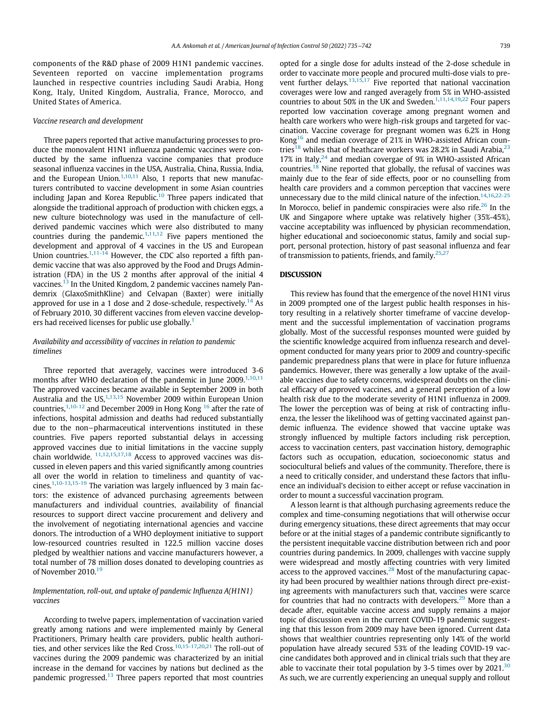components of the R&D phase of 2009 H1N1 pandemic vaccines. Seventeen reported on vaccine implementation programs launched in respective countries including Saudi Arabia, Hong Kong, Italy, United Kingdom, Australia, France, Morocco, and United States of America.

### Vaccine research and development

Three papers reported that active manufacturing processes to produce the monovalent H1N1 influenza pandemic vaccines were conducted by the same influenza vaccine companies that produce seasonal influenza vaccines in the USA, Australia, China, Russia, India, and the European Union. $1,10,11$  $1,10,11$  $1,10,11$  Also, 1 reports that new manufacturers contributed to vaccine development in some Asian countries including Japan and Korea Republic.<sup>[10](#page-7-9)</sup> Three papers indicated that alongside the traditional approach of production with chicken eggs, a new culture biotechnology was used in the manufacture of cellderived pandemic vaccines which were also distributed to many countries during the pandemic.<sup>[1](#page-7-0)[,11](#page-7-10),[12](#page-7-11)</sup> Five papers mentioned the development and approval of 4 vaccines in the US and European Union countries.<sup>[1](#page-7-0),[11-14](#page-7-10)</sup> However, the CDC also reported a fifth pandemic vaccine that was also approved by the Food and Drugs Administration (FDA) in the US 2 months after approval of the initial 4 vaccines.<sup>[13](#page-7-12)</sup> In the United Kingdom, 2 pandemic vaccines namely Pandemrix (GlaxoSmithKline) and Celvapan (Baxter) were initially approved for use in a 1 dose and 2 dose-schedule, respectively.<sup>[14](#page-7-13)</sup> As of February 2010, 30 different vaccines from eleven vaccine develop-ers had received licenses for public use globally.<sup>[1](#page-7-0)</sup>

### Availability and accessibility of vaccines in relation to pandemic timelines

Three reported that averagely, vaccines were introduced 3-6 months after WHO declaration of the pandemic in June 2009.<sup>[1](#page-7-0),[10,](#page-7-9)[11](#page-7-10)</sup> The approved vaccines became available in September 2009 in both Australia and the US, $1,13,15$  $1,13,15$  $1,13,15$  $1,13,15$  November 2009 within European Union countries, $1,10-12$  $1,10-12$  and December 2009 in Hong Kong  $16$  after the rate of infections, hospital admission and deaths had reduced substantially due to the non−pharmaceutical interventions instituted in these countries. Five papers reported substantial delays in accessing approved vaccines due to initial limitations in the vaccine supply chain worldwide. [11](#page-7-10),[12,](#page-7-11)[15,](#page-7-14)[17](#page-7-16)[,18](#page-7-17) Access to approved vaccines was discussed in eleven papers and this varied significantly among countries all over the world in relation to timeliness and quantity of vaccines[.1,](#page-7-0)[10-13](#page-7-9),[15-19](#page-7-14) The variation was largely influenced by 3 main factors: the existence of advanced purchasing agreements between manufacturers and individual countries, availability of financial resources to support direct vaccine procurement and delivery and the involvement of negotiating international agencies and vaccine donors. The introduction of a WHO deployment initiative to support low-resourced countries resulted in 122.5 million vaccine doses pledged by wealthier nations and vaccine manufacturers however, a total number of 78 million doses donated to developing countries as of November 2010.<sup>[19](#page-7-18)</sup>

### Implementation, roll-out, and uptake of pandemic Influenza A(H1N1) vaccines

According to twelve papers, implementation of vaccination varied greatly among nations and were implemented mainly by General Practitioners, Primary health care providers, public health authori-ties, and other services like the Red Cross.<sup>[10](#page-7-9),[15-17,](#page-7-14)[20](#page-7-19)[,21](#page-7-20)</sup> The roll-out of vaccines during the 2009 pandemic was characterized by an initial increase in the demand for vaccines by nations but declined as the pandemic progressed. $13$  Three papers reported that most countries opted for a single dose for adults instead of the 2-dose schedule in order to vaccinate more people and procured multi-dose vials to pre-vent further delays.<sup>[13,](#page-7-12)[15,](#page-7-14)[17](#page-7-16)</sup> Five reported that national vaccination coverages were low and ranged averagely from 5% in WHO-assisted countries to about 50% in the UK and Sweden.<sup>[1](#page-7-0),[11,](#page-7-10)[14](#page-7-13)[,19](#page-7-18)[,22](#page-7-21)</sup> Four papers reported low vaccination coverage among pregnant women and health care workers who were high-risk groups and targeted for vaccination. Vaccine coverage for pregnant women was 6.2% in Hong Kong<sup>[16](#page-7-15)</sup> and median coverage of 21% in WHO-assisted African coun-tries<sup>[18](#page-7-17)</sup> whiles that of heathcare workers was 28.2% in Saudi Arabia,<sup>[23](#page-7-22)</sup> 17% in Italy, $24$  and median covergae of 9% in WHO-assisted African countries.[18](#page-7-17) Nine reported that globally, the refusal of vaccines was mainly due to the fear of side effects, poor or no counselling from health care providers and a common perception that vaccines were unnecessary due to the mild clinical nature of the infection.<sup>[14](#page-7-13),[16](#page-7-15),[22-25](#page-7-21)</sup> In Morocco, belief in pandemic conspiracies were also rife.<sup>[26](#page-7-24)</sup> In the UK and Singapore where uptake was relatively higher (35%-45%), vaccine acceptability was influenced by physician recommendation, higher educational and socioeconomic status, family and social support, personal protection, history of past seasonal influenza and fear of transmission to patients, friends, and family. $25,27$  $25,27$ 

### **DISCUSSION**

This review has found that the emergence of the novel H1N1 virus in 2009 prompted one of the largest public health responses in history resulting in a relatively shorter timeframe of vaccine development and the successful implementation of vaccination programs globally. Most of the successful responses mounted were guided by the scientific knowledge acquired from influenza research and development conducted for many years prior to 2009 and country-specific pandemic preparedness plans that were in place for future influenza pandemics. However, there was generally a low uptake of the available vaccines due to safety concerns, widespread doubts on the clinical efficacy of approved vaccines, and a general perception of a low health risk due to the moderate severity of H1N1 influenza in 2009. The lower the perception was of being at risk of contracting influenza, the lesser the likelihood was of getting vaccinated against pandemic influenza. The evidence showed that vaccine uptake was strongly influenced by multiple factors including risk perception, access to vaccination centers, past vaccination history, demographic factors such as occupation, education, socioeconomic status and sociocultural beliefs and values of the community. Therefore, there is a need to critically consider, and understand these factors that influence an individual's decision to either accept or refuse vaccination in order to mount a successful vaccination program.

A lesson learnt is that although purchasing agreements reduce the complex and time-consuming negotiations that will otherwise occur during emergency situations, these direct agreements that may occur before or at the initial stages of a pandemic contribute significantly to the persistent inequitable vaccine distribution between rich and poor countries during pandemics. In 2009, challenges with vaccine supply were widespread and mostly affecting countries with very limited access to the approved vaccines.<sup>[28](#page-7-27)</sup> Most of the manufacturing capacity had been procured by wealthier nations through direct pre-existing agreements with manufacturers such that, vaccines were scarce for countries that had no contracts with developers.<sup>[29](#page-7-28)</sup> More than a decade after, equitable vaccine access and supply remains a major topic of discussion even in the current COVID-19 pandemic suggesting that this lesson from 2009 may have been ignored. Current data shows that wealthier countries representing only 14% of the world population have already secured 53% of the leading COVID-19 vaccine candidates both approved and in clinical trials such that they are able to vaccinate their total population by 3-5 times over by  $2021$ .<sup>[30](#page-7-29)</sup> As such, we are currently experiencing an unequal supply and rollout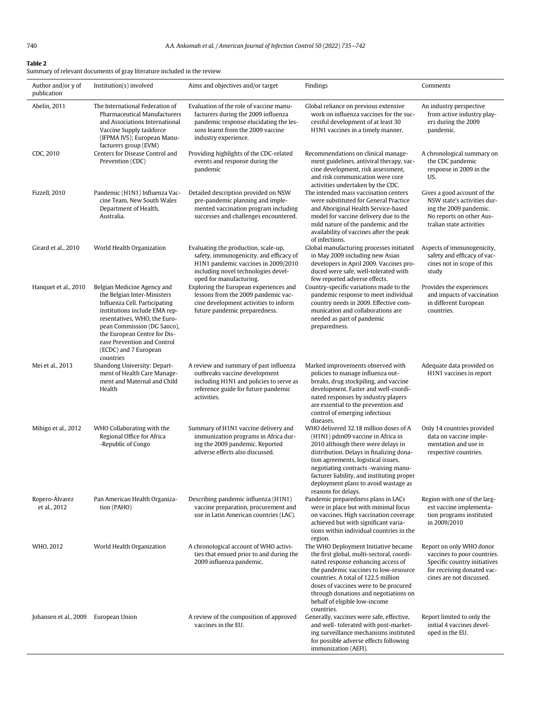<span id="page-5-0"></span>Summary of relevant documents of gray literature included in the review

| Author and/or y of<br>publication | Institution(s) involved                                                                                                                                                                                                                                                                          | Aims and objectives and/or target                                                                                                                                                        | Findings                                                                                                                                                                                                                                                                                                                                                  | Comments                                                                                                                                          |
|-----------------------------------|--------------------------------------------------------------------------------------------------------------------------------------------------------------------------------------------------------------------------------------------------------------------------------------------------|------------------------------------------------------------------------------------------------------------------------------------------------------------------------------------------|-----------------------------------------------------------------------------------------------------------------------------------------------------------------------------------------------------------------------------------------------------------------------------------------------------------------------------------------------------------|---------------------------------------------------------------------------------------------------------------------------------------------------|
| Abelin, 2011                      | The International Federation of<br>Pharmaceutical Manufacturers<br>and Associations International<br>Vaccine Supply taskforce<br>(IFPMA IVS); European Manu-<br>facturers group (EVM)                                                                                                            | Evaluation of the role of vaccine manu-<br>facturers during the 2009 influenza<br>pandemic response elucidating the les-<br>sons learnt from the 2009 vaccine<br>industry experience.    | Global reliance on previous extensive<br>work on influenza vaccines for the suc-<br>cessful development of at least 30<br>H1N1 vaccines in a timely manner.                                                                                                                                                                                               | An industry perspective<br>from active industry play-<br>ers during the 2009<br>pandemic.                                                         |
| CDC, 2010                         | Centers for Disease Control and<br>Prevention (CDC)                                                                                                                                                                                                                                              | Providing highlights of the CDC-related<br>events and response during the<br>pandemic                                                                                                    | Recommendations on clinical manage-<br>ment guidelines, antiviral therapy, vac-<br>cine development, risk assessment,<br>and risk communication were core<br>activities undertaken by the CDC.                                                                                                                                                            | A chronological summary on<br>the CDC pandemic<br>response in 2009 in the<br>US.                                                                  |
| Fizzell, 2010                     | Pandemic (H1N1) Influenza Vac-<br>cine Team, New South Wales<br>Department of Health,<br>Australia.                                                                                                                                                                                              | Detailed description provided on NSW<br>pre-pandemic planning and imple-<br>mented vaccination program including<br>successes and challenges encountered.                                | The intended mass vaccination centers<br>were substituted for General Practice<br>and Aboriginal Health Service-based<br>model for vaccine delivery due to the<br>mild nature of the pandemic and the<br>availability of vaccines after the peak<br>of infections.                                                                                        | Gives a good account of the<br>NSW state's activities dur-<br>ing the 2009 pandemic.<br>No reports on other Aus-<br>tralian state activities      |
| Girard et al., 2010               | World Health Organization                                                                                                                                                                                                                                                                        | Evaluating the production, scale-up,<br>safety, immunogenicity, and efficacy of<br>H1N1 pandemic vaccines in 2009/2010<br>including novel technologies devel-<br>oped for manufacturing. | Global manufacturing processes initiated<br>in May 2009 including new Asian<br>developers in April 2009. Vaccines pro-<br>duced were safe, well-tolerated with<br>few reported adverse effects.                                                                                                                                                           | Aspects of immunogenicity,<br>safety and efficacy of vac-<br>cines not in scope of this<br>study                                                  |
| Hanquet et al., 2010              | Belgian Medicine Agency and<br>the Belgian Inter-Ministers<br>Influenza Cell. Participating<br>institutions include EMA rep-<br>resentatives, WHO, the Euro-<br>pean Commission (DG Sanco),<br>the European Centre for Dis-<br>ease Prevention and Control<br>(ECDC) and 7 European<br>countries | Exploring the European experiences and<br>lessons from the 2009 pandemic vac-<br>cine development activities to inform<br>future pandemic preparedness.                                  | Country-specific variations made to the<br>pandemic response to meet individual<br>country needs in 2009. Effective com-<br>munication and collaborations are<br>needed as part of pandemic<br>preparedness.                                                                                                                                              | Provides the experiences<br>and impacts of vaccination<br>in different European<br>countries.                                                     |
| Mei et al., 2013                  | Shandong University: Depart-<br>ment of Health Care Manage-<br>ment and Maternal and Child<br>Health                                                                                                                                                                                             | A review and summary of past influenza<br>outbreaks vaccine development<br>including H1N1 and policies to serve as<br>reference guide for future pandemic<br>activities.                 | Marked improvements observed with<br>policies to manage influenza out-<br>breaks, drug stockpiling, and vaccine<br>development. Faster and well-coordi-<br>nated responses by industry players<br>are essential to the prevention and<br>control of emerging infectious<br>diseases.                                                                      | Adequate data provided on<br>H1N1 vaccines in report                                                                                              |
| Mihigo et al., 2012               | WHO Collaborating with the<br>Regional Office for Africa<br>-Republic of Congo                                                                                                                                                                                                                   | Summary of H1N1 vaccine delivery and<br>immunization programs in Africa dur-<br>ing the 2009 pandemic. Reported<br>adverse effects also discussed.                                       | WHO delivered 32.18 million doses of A<br>(H1N1) pdm09 vaccine in Africa in<br>2010 although there were delays in<br>distribution. Delays in finalizing dona-<br>tion agreements, logistical issues,<br>negotiating contracts -waiving manu-<br>facturer liability, and instituting proper<br>deployment plans to avoid wastage as<br>reasons for delays. | Only 14 countries provided<br>data on vaccine imple-<br>mentation and use in<br>respective countries.                                             |
| Ropero-Álvarez<br>et al., 2012    | Pan American Health Organiza-<br>tion (PAHO)                                                                                                                                                                                                                                                     | Describing pandemic influenza (H1N1)<br>vaccine preparation, procurement and<br>use in Latin American countries (LAC).                                                                   | Pandemic preparedness plans in LACs<br>were in place but with minimal focus<br>on vaccines. High vaccination coverage<br>achieved but with significant varia-<br>tions within individual countries in the<br>region.                                                                                                                                      | Region with one of the larg-<br>est vaccine implementa-<br>tion programs instituted<br>in 2009/2010                                               |
| WHO, 2012                         | World Health Organization                                                                                                                                                                                                                                                                        | A chronological account of WHO activi-<br>ties that ensued prior to and during the<br>2009 influenza pandemic.                                                                           | The WHO Deployment Initiative became<br>the first global, multi-sectoral, coordi-<br>nated response enhancing access of<br>the pandemic vaccines to low-resource<br>countries. A total of 122.5 million<br>doses of vaccines were to be procured<br>through donations and negotiations on<br>behalf of eligible low-income<br>countries.                  | Report on only WHO donor<br>vaccines to poor countries.<br>Specific country initiatives<br>for receiving donated vac-<br>cines are not discussed. |
| Johansen et al., 2009             | European Union                                                                                                                                                                                                                                                                                   | A review of the composition of approved<br>vaccines in the EU.                                                                                                                           | Generally, vaccines were safe, effective,<br>and well- tolerated with post-market-<br>ing surveillance mechanisms instituted<br>for possible adverse effects following<br>immunization (AEFI).                                                                                                                                                            | Report limited to only the<br>initial 4 vaccines devel-<br>oped in the EU.                                                                        |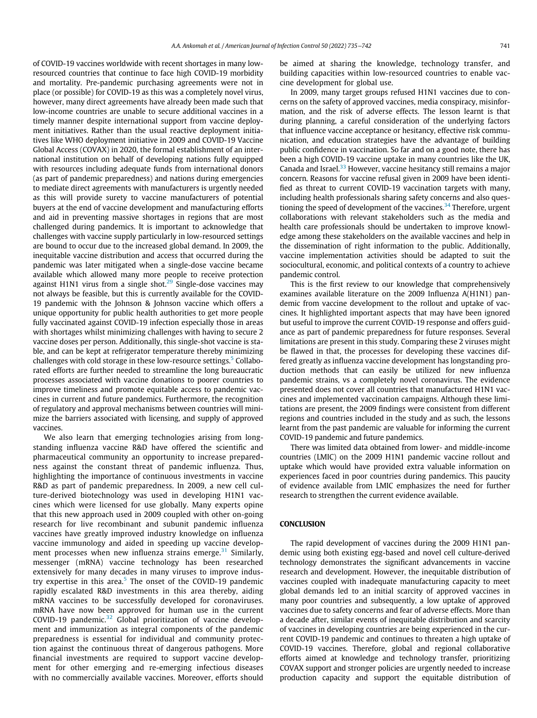of COVID-19 vaccines worldwide with recent shortages in many lowresourced countries that continue to face high COVID-19 morbidity and mortality. Pre-pandemic purchasing agreements were not in place (or possible) for COVID-19 as this was a completely novel virus, however, many direct agreements have already been made such that low-income countries are unable to secure additional vaccines in a timely manner despite international support from vaccine deployment initiatives. Rather than the usual reactive deployment initiatives like WHO deployment initiative in 2009 and COVID-19 Vaccine Global Access (COVAX) in 2020, the formal establishment of an international institution on behalf of developing nations fully equipped with resources including adequate funds from international donors (as part of pandemic preparedness) and nations during emergencies to mediate direct agreements with manufacturers is urgently needed as this will provide surety to vaccine manufacturers of potential buyers at the end of vaccine development and manufacturing efforts and aid in preventing massive shortages in regions that are most challenged during pandemics. It is important to acknowledge that challenges with vaccine supply particularly in low-resourced settings are bound to occur due to the increased global demand. In 2009, the inequitable vaccine distribution and access that occurred during the pandemic was later mitigated when a single-dose vaccine became available which allowed many more people to receive protection against H1N1 virus from a single shot. $29$  Single-dose vaccines may not always be feasible, but this is currently available for the COVID-19 pandemic with the Johnson & Johnson vaccine which offers a unique opportunity for public health authorities to get more people fully vaccinated against COVID-19 infection especially those in areas with shortages whilst minimizing challenges with having to secure 2 vaccine doses per person. Additionally, this single-shot vaccine is stable, and can be kept at refrigerator temperature thereby minimizing challenges with cold storage in these low-resource settings.<sup>[5](#page-7-4)</sup> Collaborated efforts are further needed to streamline the long bureaucratic processes associated with vaccine donations to poorer countries to improve timeliness and promote equitable access to pandemic vaccines in current and future pandemics. Furthermore, the recognition of regulatory and approval mechanisms between countries will minimize the barriers associated with licensing, and supply of approved vaccines.

We also learn that emerging technologies arising from longstanding influenza vaccine R&D have offered the scientific and pharmaceutical community an opportunity to increase preparedness against the constant threat of pandemic influenza. Thus, highlighting the importance of continuous investments in vaccine R&D as part of pandemic preparedness. In 2009, a new cell culture-derived biotechnology was used in developing H1N1 vaccines which were licensed for use globally. Many experts opine that this new approach used in 2009 coupled with other on-going research for live recombinant and subunit pandemic influenza vaccines have greatly improved industry knowledge on influenza vaccine immunology and aided in speeding up vaccine development processes when new influenza strains emerge. $31$  Similarly, messenger (mRNA) vaccine technology has been researched extensively for many decades in many viruses to improve industry expertise in this area. $5$  The onset of the COVID-19 pandemic rapidly escalated R&D investments in this area thereby, aiding mRNA vaccines to be successfully developed for coronaviruses. mRNA have now been approved for human use in the current COVID-19 pandemic. $32$  Global prioritization of vaccine development and immunization as integral components of the pandemic preparedness is essential for individual and community protection against the continuous threat of dangerous pathogens. More financial investments are required to support vaccine development for other emerging and re-emerging infectious diseases with no commercially available vaccines. Moreover, efforts should be aimed at sharing the knowledge, technology transfer, and building capacities within low-resourced countries to enable vaccine development for global use.

In 2009, many target groups refused H1N1 vaccines due to concerns on the safety of approved vaccines, media conspiracy, misinformation, and the risk of adverse effects. The lesson learnt is that during planning, a careful consideration of the underlying factors that influence vaccine acceptance or hesitancy, effective risk communication, and education strategies have the advantage of building public confidence in vaccination. So far and on a good note, there has been a high COVID-19 vaccine uptake in many countries like the UK, Canada and Israel.<sup>[33](#page-7-32)</sup> However, vaccine hesitancy still remains a major concern. Reasons for vaccine refusal given in 2009 have been identified as threat to current COVID-19 vaccination targets with many, including health professionals sharing safety concerns and also ques-tioning the speed of development of the vaccines.<sup>[34](#page-7-33)</sup> Therefore, urgent collaborations with relevant stakeholders such as the media and health care professionals should be undertaken to improve knowledge among these stakeholders on the available vaccines and help in the dissemination of right information to the public. Additionally, vaccine implementation activities should be adapted to suit the sociocultural, economic, and political contexts of a country to achieve pandemic control.

This is the first review to our knowledge that comprehensively examines available literature on the 2009 Influenza A(H1N1) pandemic from vaccine development to the rollout and uptake of vaccines. It highlighted important aspects that may have been ignored but useful to improve the current COVID-19 response and offers guidance as part of pandemic preparedness for future responses. Several limitations are present in this study. Comparing these 2 viruses might be flawed in that, the processes for developing these vaccines differed greatly as influenza vaccine development has longstanding production methods that can easily be utilized for new influenza pandemic strains, vs a completely novel coronavirus. The evidence presented does not cover all countries that manufactured H1N1 vaccines and implemented vaccination campaigns. Although these limitations are present, the 2009 findings were consistent from different regions and countries included in the study and as such, the lessons learnt from the past pandemic are valuable for informing the current COVID-19 pandemic and future pandemics.

There was limited data obtained from lower- and middle-income countries (LMIC) on the 2009 H1N1 pandemic vaccine rollout and uptake which would have provided extra valuable information on experiences faced in poor countries during pandemics. This paucity of evidence available from LMIC emphasizes the need for further research to strengthen the current evidence available.

### **CONCLUSION**

The rapid development of vaccines during the 2009 H1N1 pandemic using both existing egg-based and novel cell culture-derived technology demonstrates the significant advancements in vaccine research and development. However, the inequitable distribution of vaccines coupled with inadequate manufacturing capacity to meet global demands led to an initial scarcity of approved vaccines in many poor countries and subsequently, a low uptake of approved vaccines due to safety concerns and fear of adverse effects. More than a decade after, similar events of inequitable distribution and scarcity of vaccines in developing countries are being experienced in the current COVID-19 pandemic and continues to threaten a high uptake of COVID-19 vaccines. Therefore, global and regional collaborative efforts aimed at knowledge and technology transfer, prioritizing COVAX support and stronger policies are urgently needed to increase production capacity and support the equitable distribution of